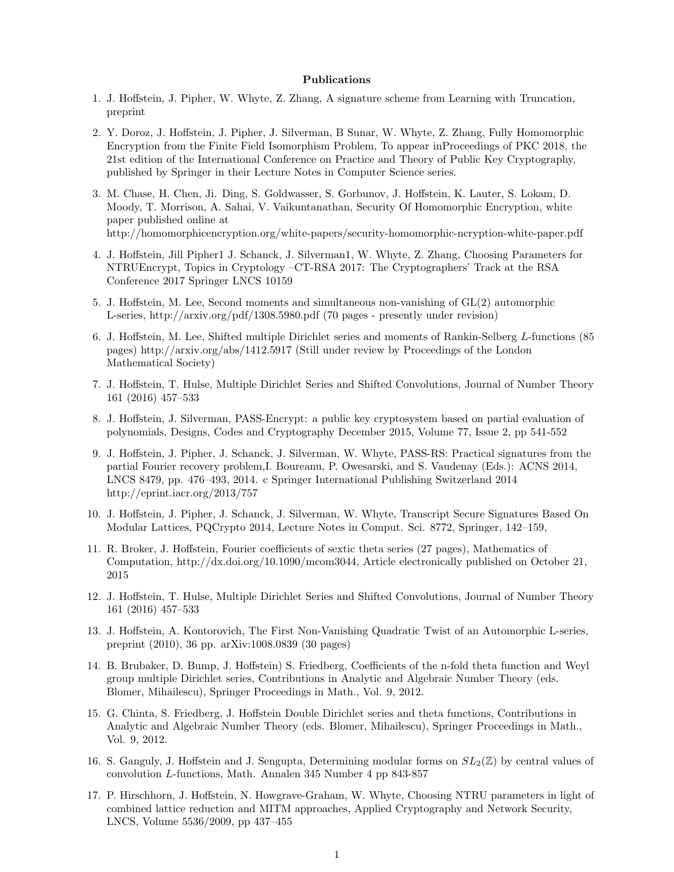## Publications

- 1. J. Hoffstein, J. Pipher, W. Whyte, Z. Zhang, A signature scheme from Learning with Truncation, preprint
- 2. Y. Doroz, J. Hoffstein, J. Pipher, J. Silverman, B Sunar, W. Whyte, Z. Zhang, Fully Homomorphic Encryption from the Finite Field Isomorphism Problem, To appear inProceedings of PKC 2018, the 21st edition of the International Conference on Practice and Theory of Public Key Cryptography, published by Springer in their Lecture Notes in Computer Science series.
- 3. M. Chase, H. Chen, Ji. Ding, S. Goldwasser, S. Gorbunov, J. Hoffstein, K. Lauter, S. Lokam, D. Moody, T. Morrison, A. Sahai, V. Vaikuntanathan, Security Of Homomorphic Encryption, white paper published online at http://homomorphicencryption.org/white-papers/security-homomorphic-ncryption-white-paper.pdf
- 4. J. Hoffstein, Jill Pipher1 J. Schanck, J. Silverman1, W. Whyte, Z. Zhang, Choosing Parameters for NTRUEncrypt, Topics in Cryptology –CT-RSA 2017: The Cryptographers' Track at the RSA Conference 2017 Springer LNCS 10159
- 5. J. Hoffstein, M. Lee, Second moments and simultaneous non-vanishing of  $GL(2)$  automorphic L-series, http://arxiv.org/pdf/1308.5980.pdf (70 pages - presently under revision)
- 6. J. Hoffstein, M. Lee, Shifted multiple Dirichlet series and moments of Rankin-Selberg *L*-functions (85 pages) http://arxiv.org/abs/1412.5917 (Still under review by Proceedings of the London Mathematical Society)
- 7. J. Hoffstein, T. Hulse, Multiple Dirichlet Series and Shifted Convolutions, Journal of Number Theory 161 (2016) 457–533
- 8. J. Hoffstein, J. Silverman, PASS-Encrypt: a public key cryptosystem based on partial evaluation of polynomials, Designs, Codes and Cryptography December 2015, Volume 77, Issue 2, pp 541-552
- 9. J. Hoffstein, J. Pipher, J. Schanck, J. Silverman, W. Whyte, PASS-RS: Practical signatures from the partial Fourier recovery problem,I. Boureanu, P. Owesarski, and S. Vaudenay (Eds.): ACNS 2014, LNCS 8479, pp. 476–493, 2014. c Springer International Publishing Switzerland 2014 http://eprint.iacr.org/2013/757
- 10. J. Ho↵stein, J. Pipher, J. Schanck, J. Silverman, W. Whyte, Transcript Secure Signatures Based On Modular Lattices, PQCrypto 2014, Lecture Notes in Comput. Sci. 8772, Springer, 142–159,
- 11. R. Broker, J. Hoffstein, Fourier coefficients of sextic theta series (27 pages), Mathematics of Computation, http://dx.doi.org/10.1090/mcom3044, Article electronically published on October 21, 2015
- 12. J. Hoffstein, T. Hulse, Multiple Dirichlet Series and Shifted Convolutions, Journal of Number Theory 161 (2016) 457–533
- 13. J. Hoffstein, A. Kontorovich, The First Non-Vanishing Quadratic Twist of an Automorphic L-series, preprint (2010), 36 pp. arXiv:1008.0839 (30 pages)
- 14. B. Brubaker, D. Bump, J. Hoffstein) S. Friedberg, Coefficients of the n-fold theta function and Weyl group multiple Dirichlet series, Contributions in Analytic and Algebraic Number Theory (eds. Blomer, Mihailescu), Springer Proceedings in Math., Vol. 9, 2012.
- 15. G. Chinta, S. Friedberg, J. Hoffstein Double Dirichlet series and theta functions, Contributions in Analytic and Algebraic Number Theory (eds. Blomer, Mihailescu), Springer Proceedings in Math., Vol. 9, 2012.
- 16. S. Ganguly, J. Hoffstein and J. Sengupta, Determining modular forms on  $SL_2(\mathbb{Z})$  by central values of convolution *L*-functions, Math. Annalen 345 Number 4 pp 843-857
- 17. P. Hirschhorn, J. Hoffstein, N. Howgrave-Graham, W. Whyte, Choosing NTRU parameters in light of combined lattice reduction and MITM approaches, Applied Cryptography and Network Security, LNCS, Volume 5536/2009, pp 437–455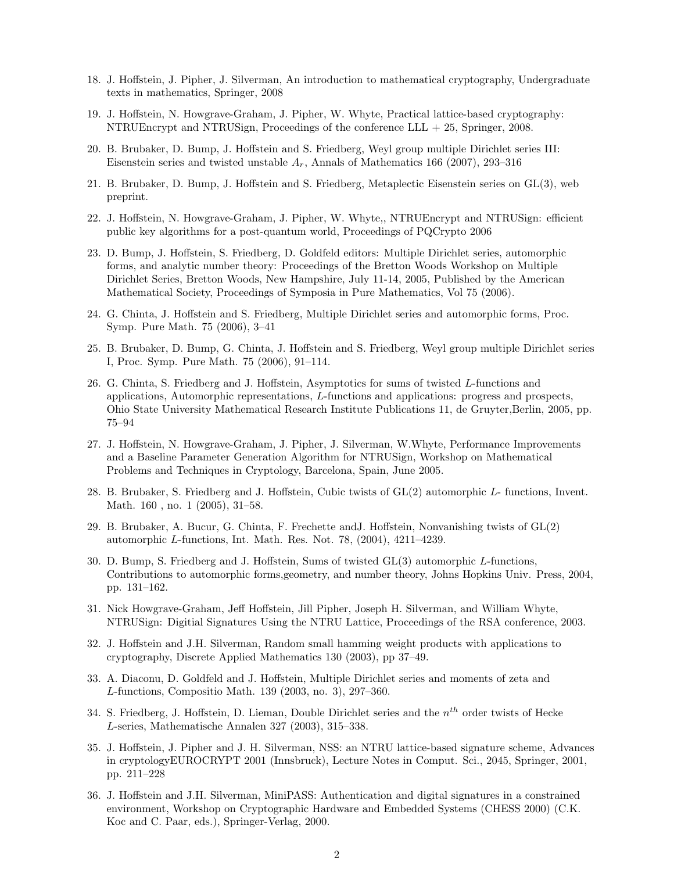- 18. J. Hoffstein, J. Pipher, J. Silverman, An introduction to mathematical cryptography, Undergraduate texts in mathematics, Springer, 2008
- 19. J. Hoffstein, N. Howgrave-Graham, J. Pipher, W. Whyte, Practical lattice-based cryptography: NTRUEncrypt and NTRUSign, Proceedings of the conference LLL + 25, Springer, 2008.
- 20. B. Brubaker, D. Bump, J. Hoffstein and S. Friedberg, Weyl group multiple Dirichlet series III: Eisenstein series and twisted unstable *Ar*, Annals of Mathematics 166 (2007), 293–316
- 21. B. Brubaker, D. Bump, J. Hoffstein and S. Friedberg, Metaplectic Eisenstein series on  $GL(3)$ , web preprint.
- 22. J. Hoffstein, N. Howgrave-Graham, J. Pipher, W. Whyte,, NTRUEncrypt and NTRUSign: efficient public key algorithms for a post-quantum world, Proceedings of PQCrypto 2006
- 23. D. Bump, J. Hoffstein, S. Friedberg, D. Goldfeld editors: Multiple Dirichlet series, automorphic forms, and analytic number theory: Proceedings of the Bretton Woods Workshop on Multiple Dirichlet Series, Bretton Woods, New Hampshire, July 11-14, 2005, Published by the American Mathematical Society, Proceedings of Symposia in Pure Mathematics, Vol 75 (2006).
- 24. G. Chinta, J. Hoffstein and S. Friedberg, Multiple Dirichlet series and automorphic forms, Proc. Symp. Pure Math. 75 (2006), 3–41
- 25. B. Brubaker, D. Bump, G. Chinta, J. Hoffstein and S. Friedberg, Weyl group multiple Dirichlet series I, Proc. Symp. Pure Math. 75 (2006), 91–114.
- 26. G. Chinta, S. Friedberg and J. Hoffstein, Asymptotics for sums of twisted *L*-functions and applications, Automorphic representations, *L*-functions and applications: progress and prospects, Ohio State University Mathematical Research Institute Publications 11, de Gruyter,Berlin, 2005, pp. 75–94
- 27. J. Hoffstein, N. Howgrave-Graham, J. Pipher, J. Silverman, W.Whyte, Performance Improvements and a Baseline Parameter Generation Algorithm for NTRUSign, Workshop on Mathematical Problems and Techniques in Cryptology, Barcelona, Spain, June 2005.
- 28. B. Brubaker, S. Friedberg and J. Hoffstein, Cubic twists of  $GL(2)$  automorphic *L* functions, Invent. Math. 160 , no. 1 (2005), 31–58.
- 29. B. Brubaker, A. Bucur, G. Chinta, F. Frechette and J. Hoffstein, Nonvanishing twists of  $GL(2)$ automorphic *L*-functions, Int. Math. Res. Not. 78, (2004), 4211–4239.
- 30. D. Bump, S. Friedberg and J. Hoffstein, Sums of twisted  $GL(3)$  automorphic *L*-functions, Contributions to automorphic forms,geometry, and number theory, Johns Hopkins Univ. Press, 2004, pp. 131–162.
- 31. Nick Howgrave-Graham, Jeff Hoffstein, Jill Pipher, Joseph H. Silverman, and William Whyte, NTRUSign: Digitial Signatures Using the NTRU Lattice, Proceedings of the RSA conference, 2003.
- 32. J. Hoffstein and J.H. Silverman, Random small hamming weight products with applications to cryptography, Discrete Applied Mathematics 130 (2003), pp 37–49.
- 33. A. Diaconu, D. Goldfeld and J. Hoffstein, Multiple Dirichlet series and moments of zeta and *L*-functions, Compositio Math. 139 (2003, no. 3), 297–360.
- 34. S. Friedberg, J. Hoffstein, D. Lieman, Double Dirichlet series and the  $n^{th}$  order twists of Hecke *L*-series, Mathematische Annalen 327 (2003), 315–338.
- 35. J. Hoffstein, J. Pipher and J. H. Silverman, NSS: an NTRU lattice-based signature scheme, Advances in cryptologyEUROCRYPT 2001 (Innsbruck), Lecture Notes in Comput. Sci., 2045, Springer, 2001, pp. 211–228
- 36. J. Hoffstein and J.H. Silverman, MiniPASS: Authentication and digital signatures in a constrained environment, Workshop on Cryptographic Hardware and Embedded Systems (CHESS 2000) (C.K. Koc and C. Paar, eds.), Springer-Verlag, 2000.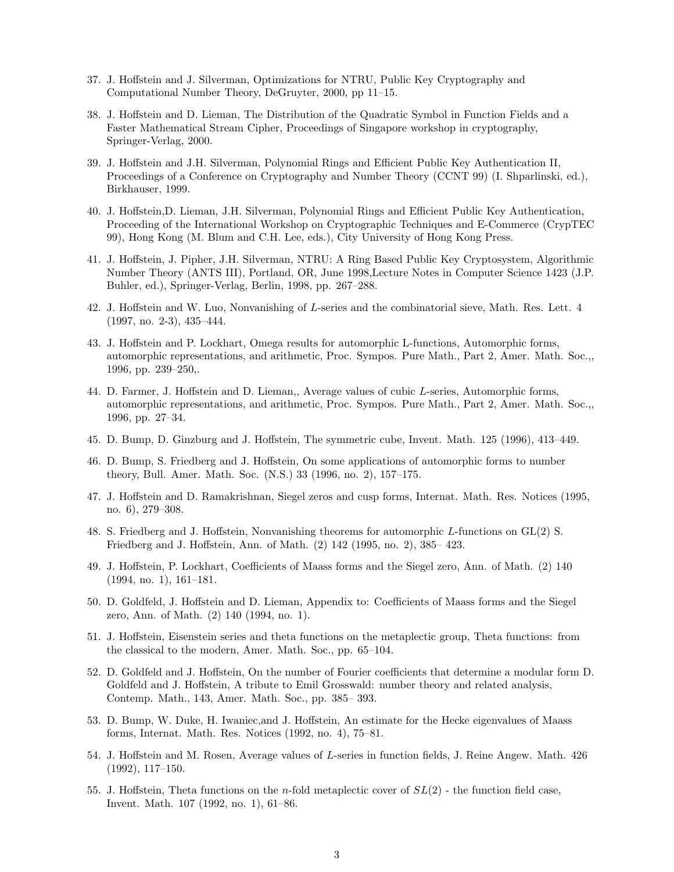- 37. J. Hoffstein and J. Silverman, Optimizations for NTRU, Public Key Cryptography and Computational Number Theory, DeGruyter, 2000, pp 11–15.
- 38. J. Hoffstein and D. Lieman, The Distribution of the Quadratic Symbol in Function Fields and a Faster Mathematical Stream Cipher, Proceedings of Singapore workshop in cryptography, Springer-Verlag, 2000.
- 39. J. Hoffstein and J.H. Silverman, Polynomial Rings and Efficient Public Key Authentication II, Proceedings of a Conference on Cryptography and Number Theory (CCNT 99) (I. Shparlinski, ed.), Birkhauser, 1999.
- 40. J. Hoffstein,D. Lieman, J.H. Silverman, Polynomial Rings and Efficient Public Key Authentication, Proceeding of the International Workshop on Cryptographic Techniques and E-Commerce (CrypTEC 99), Hong Kong (M. Blum and C.H. Lee, eds.), City University of Hong Kong Press.
- 41. J. Ho↵stein, J. Pipher, J.H. Silverman, NTRU: A Ring Based Public Key Cryptosystem, Algorithmic Number Theory (ANTS III), Portland, OR, June 1998,Lecture Notes in Computer Science 1423 (J.P. Buhler, ed.), Springer-Verlag, Berlin, 1998, pp. 267–288.
- 42. J. Hoffstein and W. Luo, Nonvanishing of L-series and the combinatorial sieve, Math. Res. Lett. 4 (1997, no. 2-3), 435–444.
- 43. J. Hoffstein and P. Lockhart, Omega results for automorphic L-functions, Automorphic forms, automorphic representations, and arithmetic, Proc. Sympos. Pure Math., Part 2, Amer. Math. Soc.,, 1996, pp. 239–250,.
- 44. D. Farmer, J. Hoffstein and D. Lieman,, Average values of cubic *L*-series, Automorphic forms, automorphic representations, and arithmetic, Proc. Sympos. Pure Math., Part 2, Amer. Math. Soc.,, 1996, pp. 27–34.
- 45. D. Bump, D. Ginzburg and J. Hoffstein, The symmetric cube, Invent. Math. 125 (1996), 413–449.
- 46. D. Bump, S. Friedberg and J. Hoffstein, On some applications of automorphic forms to number theory, Bull. Amer. Math. Soc. (N.S.) 33 (1996, no. 2), 157–175.
- 47. J. Hoffstein and D. Ramakrishnan, Siegel zeros and cusp forms, Internat. Math. Res. Notices (1995, no. 6), 279–308.
- 48. S. Friedberg and J. Hoffstein, Nonvanishing theorems for automorphic *L*-functions on GL(2) S. Friedberg and J. Hoffstein, Ann. of Math. (2) 142 (1995, no. 2), 385-423.
- 49. J. Hoffstein, P. Lockhart, Coefficients of Maass forms and the Siegel zero, Ann. of Math. (2) 140 (1994, no. 1), 161–181.
- 50. D. Goldfeld, J. Hoffstein and D. Lieman, Appendix to: Coefficients of Maass forms and the Siegel zero, Ann. of Math. (2) 140 (1994, no. 1).
- 51. J. Hoffstein, Eisenstein series and theta functions on the metaplectic group, Theta functions: from the classical to the modern, Amer. Math. Soc., pp. 65–104.
- 52. D. Goldfeld and J. Hoffstein, On the number of Fourier coefficients that determine a modular form D. Goldfeld and J. Hoffstein, A tribute to Emil Grosswald: number theory and related analysis, Contemp. Math., 143, Amer. Math. Soc., pp. 385– 393.
- 53. D. Bump, W. Duke, H. Iwaniec, and J. Hoffstein, An estimate for the Hecke eigenvalues of Maass forms, Internat. Math. Res. Notices (1992, no. 4), 75–81.
- 54. J. Hoffstein and M. Rosen, Average values of *L*-series in function fields, J. Reine Angew. Math. 426 (1992), 117–150.
- 55. J. Hoffstein, Theta functions on the *n*-fold metaplectic cover of  $SL(2)$  the function field case, Invent. Math. 107 (1992, no. 1), 61–86.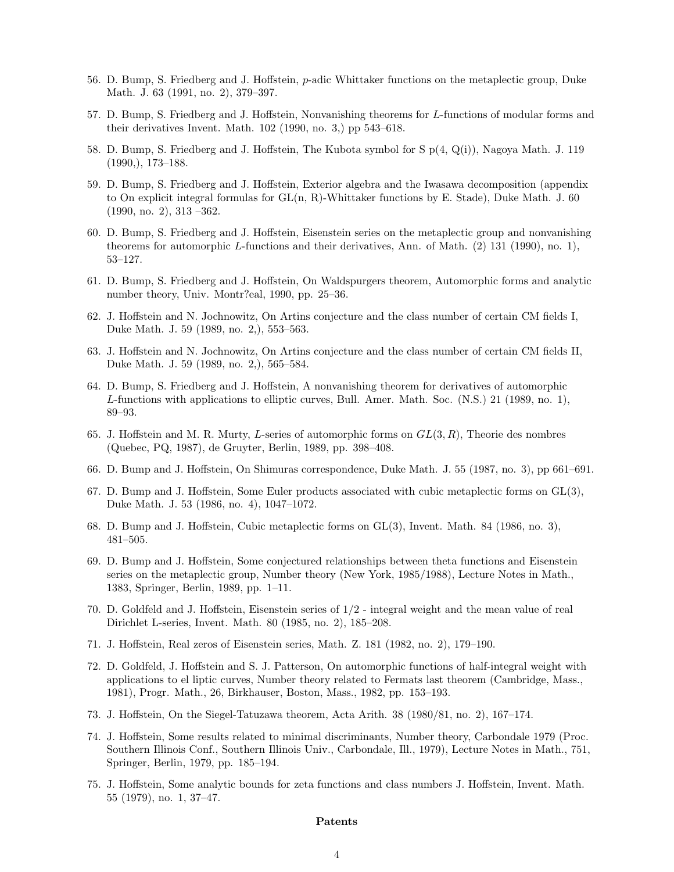- 56. D. Bump, S. Friedberg and J. Hoffstein, *p*-adic Whittaker functions on the metaplectic group, Duke Math. J. 63 (1991, no. 2), 379–397.
- 57. D. Bump, S. Friedberg and J. Hoffstein, Nonvanishing theorems for *L*-functions of modular forms and their derivatives Invent. Math. 102 (1990, no. 3,) pp 543–618.
- 58. D. Bump, S. Friedberg and J. Hoffstein, The Kubota symbol for S  $p(4, Q(i))$ , Nagoya Math. J. 119 (1990,), 173–188.
- 59. D. Bump, S. Friedberg and J. Hoffstein, Exterior algebra and the Iwasawa decomposition (appendix to On explicit integral formulas for GL(n, R)-Whittaker functions by E. Stade), Duke Math. J. 60 (1990, no. 2), 313 –362.
- 60. D. Bump, S. Friedberg and J. Hoffstein, Eisenstein series on the metaplectic group and nonvanishing theorems for automorphic *L*-functions and their derivatives, Ann. of Math. (2) 131 (1990), no. 1), 53–127.
- 61. D. Bump, S. Friedberg and J. Hoffstein, On Waldspurgers theorem, Automorphic forms and analytic number theory, Univ. Montr?eal, 1990, pp. 25–36.
- 62. J. Hoffstein and N. Jochnowitz, On Artins conjecture and the class number of certain CM fields I, Duke Math. J. 59 (1989, no. 2,), 553–563.
- 63. J. Hoffstein and N. Jochnowitz, On Artins conjecture and the class number of certain CM fields II, Duke Math. J. 59 (1989, no. 2,), 565–584.
- 64. D. Bump, S. Friedberg and J. Hoffstein, A nonvanishing theorem for derivatives of automorphic *L*-functions with applications to elliptic curves, Bull. Amer. Math. Soc. (N.S.) 21 (1989, no. 1), 89–93.
- 65. J. Ho↵stein and M. R. Murty, *L*-series of automorphic forms on *GL*(3*, R*), Theorie des nombres (Quebec, PQ, 1987), de Gruyter, Berlin, 1989, pp. 398–408.
- 66. D. Bump and J. Hoffstein, On Shimuras correspondence, Duke Math. J. 55 (1987, no. 3), pp 661–691.
- 67. D. Bump and J. Hoffstein, Some Euler products associated with cubic metaplectic forms on  $GL(3)$ , Duke Math. J. 53 (1986, no. 4), 1047–1072.
- 68. D. Bump and J. Hoffstein, Cubic metaplectic forms on  $GL(3)$ , Invent. Math. 84 (1986, no. 3), 481–505.
- 69. D. Bump and J. Hoffstein, Some conjectured relationships between theta functions and Eisenstein series on the metaplectic group, Number theory (New York, 1985/1988), Lecture Notes in Math., 1383, Springer, Berlin, 1989, pp. 1–11.
- 70. D. Goldfeld and J. Hoffstein, Eisenstein series of  $1/2$  integral weight and the mean value of real Dirichlet L-series, Invent. Math. 80 (1985, no. 2), 185–208.
- 71. J. Hoffstein, Real zeros of Eisenstein series, Math. Z. 181 (1982, no. 2), 179–190.
- 72. D. Goldfeld, J. Hoffstein and S. J. Patterson, On automorphic functions of half-integral weight with applications to el liptic curves, Number theory related to Fermats last theorem (Cambridge, Mass., 1981), Progr. Math., 26, Birkhauser, Boston, Mass., 1982, pp. 153–193.
- 73. J. Hoffstein, On the Siegel-Tatuzawa theorem, Acta Arith. 38 (1980/81, no. 2), 167–174.
- 74. J. Hoffstein, Some results related to minimal discriminants, Number theory, Carbondale 1979 (Proc. Southern Illinois Conf., Southern Illinois Univ., Carbondale, Ill., 1979), Lecture Notes in Math., 751, Springer, Berlin, 1979, pp. 185–194.
- 75. J. Hoffstein, Some analytic bounds for zeta functions and class numbers J. Hoffstein, Invent. Math. 55 (1979), no. 1, 37–47.

## Patents